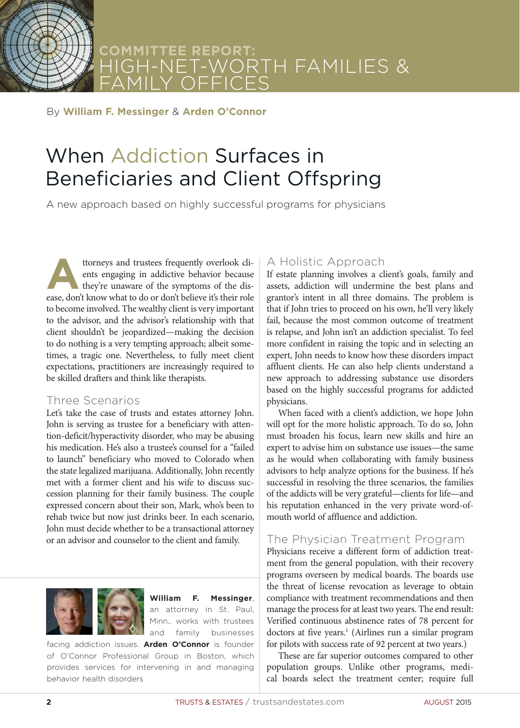

# **COMMITTEE REPORT:** HIGH-NET-WORTH FAMILIES & FAMILY OFFICES

#### By **William F. Messinger** & **Arden O'Connor**

# When Addiction Surfaces in Beneficiaries and Client Offspring

A new approach based on highly successful programs for physicians

ttorneys and trustees frequently overlook clients engaging in addictive behavior because they're unaware of the symptoms of the disents engaging in addictive behavior because they're unaware of the symptoms of the disease, don't know what to do or don't believe it's their role to become involved. The wealthy client is very important to the advisor, and the advisor's relationship with that client shouldn't be jeopardized—making the decision to do nothing is a very tempting approach; albeit sometimes, a tragic one. Nevertheless, to fully meet client expectations, practitioners are increasingly required to be skilled drafters and think like therapists.

#### Three Scenarios

Let's take the case of trusts and estates attorney John. John is serving as trustee for a beneficiary with attention-deficit/hyperactivity disorder, who may be abusing his medication. He's also a trustee's counsel for a "failed to launch" beneficiary who moved to Colorado when the state legalized marijuana. Additionally, John recently met with a former client and his wife to discuss succession planning for their family business. The couple expressed concern about their son, Mark, who's been to rehab twice but now just drinks beer. In each scenario, John must decide whether to be a transactional attorney or an advisor and counselor to the client and family.



**William F. Messinger**, an attorney in St. Paul, Minn., works with trustees and family businesses

facing addiction issues. **Arden O'Connor** is founder of O'Connor Professional Group in Boston, which provides services for intervening in and managing behavior health disorders

# A Holistic Approach

If estate planning involves a client's goals, family and assets, addiction will undermine the best plans and grantor's intent in all three domains. The problem is that if John tries to proceed on his own, he'll very likely fail, because the most common outcome of treatment is relapse, and John isn't an addiction specialist. To feel more confident in raising the topic and in selecting an expert, John needs to know how these disorders impact affluent clients. He can also help clients understand a new approach to addressing substance use disorders based on the highly successful programs for addicted physicians.

When faced with a client's addiction, we hope John will opt for the more holistic approach. To do so, John must broaden his focus, learn new skills and hire an expert to advise him on substance use issues—the same as he would when collaborating with family business advisors to help analyze options for the business. If he's successful in resolving the three scenarios, the families of the addicts will be very grateful—clients for life—and his reputation enhanced in the very private word-ofmouth world of affluence and addiction.

# The Physician Treatment Program

Physicians receive a different form of addiction treatment from the general population, with their recovery programs overseen by medical boards. The boards use the threat of license revocation as leverage to obtain compliance with treatment recommendations and then manage the process for at least two years. The end result: Verified continuous abstinence rates of 78 percent for doctors at five years.<sup>1</sup> (Airlines run a similar program for pilots with success rate of 92 percent at two years.)

These are far superior outcomes compared to other population groups. Unlike other programs, medical boards select the treatment center; require full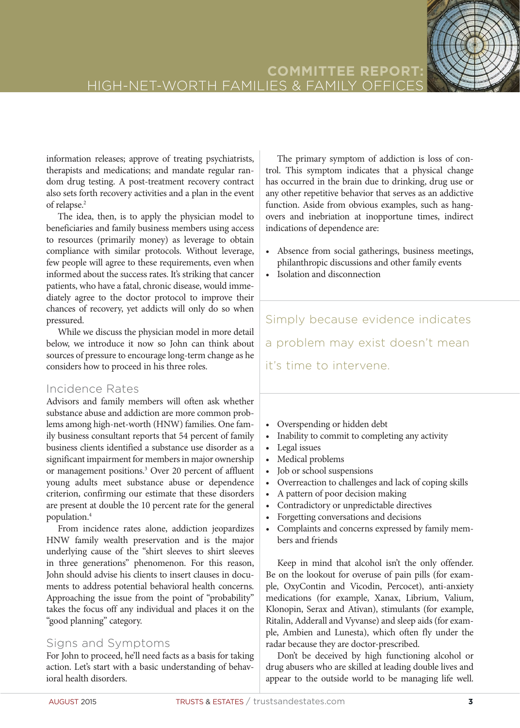information releases; approve of treating psychiatrists, therapists and medications; and mandate regular random drug testing. A post-treatment recovery contract also sets forth recovery activities and a plan in the event of relapse.<sup>2</sup>

The idea, then, is to apply the physician model to beneficiaries and family business members using access to resources (primarily money) as leverage to obtain compliance with similar protocols. Without leverage, few people will agree to these requirements, even when informed about the success rates. It's striking that cancer patients, who have a fatal, chronic disease, would immediately agree to the doctor protocol to improve their chances of recovery, yet addicts will only do so when pressured.

While we discuss the physician model in more detail below, we introduce it now so John can think about sources of pressure to encourage long-term change as he considers how to proceed in his three roles.

# Incidence Rates

Advisors and family members will often ask whether substance abuse and addiction are more common problems among high-net-worth (HNW) families. One family business consultant reports that 54 percent of family business clients identified a substance use disorder as a significant impairment for members in major ownership or management positions.<sup>3</sup> Over 20 percent of affluent young adults meet substance abuse or dependence criterion, confirming our estimate that these disorders are present at double the 10 percent rate for the general population.4

From incidence rates alone, addiction jeopardizes HNW family wealth preservation and is the major underlying cause of the "shirt sleeves to shirt sleeves in three generations" phenomenon. For this reason, John should advise his clients to insert clauses in documents to address potential behavioral health concerns. Approaching the issue from the point of "probability" takes the focus off any individual and places it on the "good planning" category.

# Signs and Symptoms

For John to proceed, he'll need facts as a basis for taking action. Let's start with a basic understanding of behavioral health disorders.

The primary symptom of addiction is loss of control. This symptom indicates that a physical change has occurred in the brain due to drinking, drug use or any other repetitive behavior that serves as an addictive function. Aside from obvious examples, such as hangovers and inebriation at inopportune times, indirect indications of dependence are:

- Absence from social gatherings, business meetings, philanthropic discussions and other family events
- Isolation and disconnection

Simply because evidence indicates a problem may exist doesn't mean it's time to intervene.

- Overspending or hidden debt
- Inability to commit to completing any activity
- Legal issues
- Medical problems
- Job or school suspensions
- Overreaction to challenges and lack of coping skills
- A pattern of poor decision making
- Contradictory or unpredictable directives
- Forgetting conversations and decisions
- Complaints and concerns expressed by family members and friends

Keep in mind that alcohol isn't the only offender. Be on the lookout for overuse of pain pills (for example, OxyContin and Vicodin, Percocet), anti-anxiety medications (for example, Xanax, Librium, Valium, Klonopin, Serax and Ativan), stimulants (for example, Ritalin, Adderall and Vyvanse) and sleep aids (for example, Ambien and Lunesta), which often fly under the radar because they are doctor-prescribed.

Don't be deceived by high functioning alcohol or drug abusers who are skilled at leading double lives and appear to the outside world to be managing life well.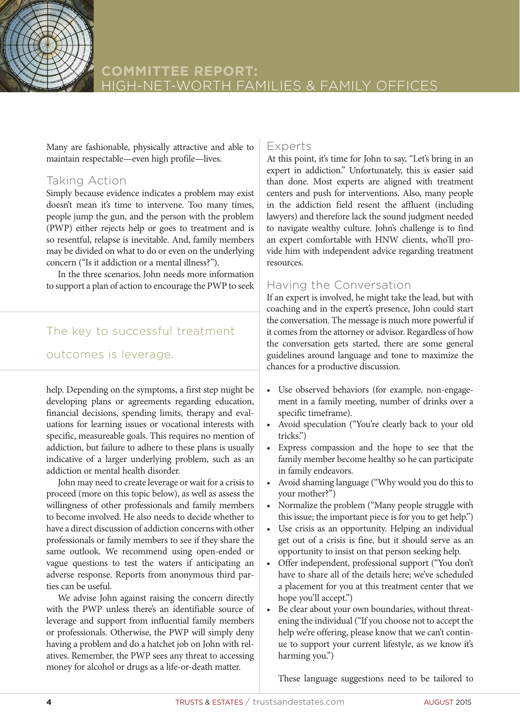

Many are fashionable, physically attractive and able to maintain respectable—even high profile—lives.

# Taking Action

Simply because evidence indicates a problem may exist doesn't mean it's time to intervene. Too many times, people jump the gun, and the person with the problem (PWP) either rejects help or goes to treatment and is so resentful, relapse is inevitable. And, family members may be divided on what to do or even on the underlying concern ("Is it addiction or a mental illness?").

In the three scenarios, John needs more information to support a plan of action to encourage the PWP to seek

# The key to successful treatment

#### outcomes is leverage.

help. Depending on the symptoms, a first step might be developing plans or agreements regarding education, financial decisions, spending limits, therapy and evaluations for learning issues or vocational interests with specific, measureable goals. This requires no mention of addiction, but failure to adhere to these plans is usually indicative of a larger underlying problem, such as an addiction or mental health disorder.

John may need to create leverage or wait for a crisis to proceed (more on this topic below), as well as assess the willingness of other professionals and family members to become involved. He also needs to decide whether to have a direct discussion of addiction concerns with other professionals or family members to see if they share the same outlook. We recommend using open-ended or vague questions to test the waters if anticipating an adverse response. Reports from anonymous third parties can be useful.

We advise John against raising the concern directly with the PWP unless there's an identifiable source of leverage and support from influential family members or professionals. Otherwise, the PWP will simply deny having a problem and do a hatchet job on John with relatives. Remember, the PWP sees any threat to accessing money for alcohol or drugs as a life-or-death matter.

#### Experts

At this point, it's time for John to say, "Let's bring in an expert in addiction." Unfortunately, this is easier said than done. Most experts are aligned with treatment centers and push for interventions. Also, many people in the addiction field resent the affluent (including lawyers) and therefore lack the sound judgment needed to navigate wealthy culture. John's challenge is to find an expert comfortable with HNW clients, who'll provide him with independent advice regarding treatment resources.

# Having the Conversation

If an expert is involved, he might take the lead, but with coaching and in the expert's presence, John could start the conversation. The message is much more powerful if it comes from the attorney or advisor. Regardless of how the conversation gets started, there are some general guidelines around language and tone to maximize the chances for a productive discussion.

- Use observed behaviors (for example, non-engagement in a family meeting, number of drinks over a specific timeframe).
- Avoid speculation ("You're clearly back to your old tricks.")
- Express compassion and the hope to see that the family member become healthy so he can participate in family endeavors.
- Avoid shaming language ("Why would you do this to your mother?")
- Normalize the problem ("Many people struggle with this issue; the important piece is for you to get help.")
- Use crisis as an opportunity. Helping an individual get out of a crisis is fine, but it should serve as an opportunity to insist on that person seeking help.
- Offer independent, professional support ("You don't have to share all of the details here; we've scheduled a placement for you at this treatment center that we hope you'll accept.")
- Be clear about your own boundaries, without threatening the individual ("If you choose not to accept the help we're offering, please know that we can't continue to support your current lifestyle, as we know it's harming you.")

These language suggestions need to be tailored to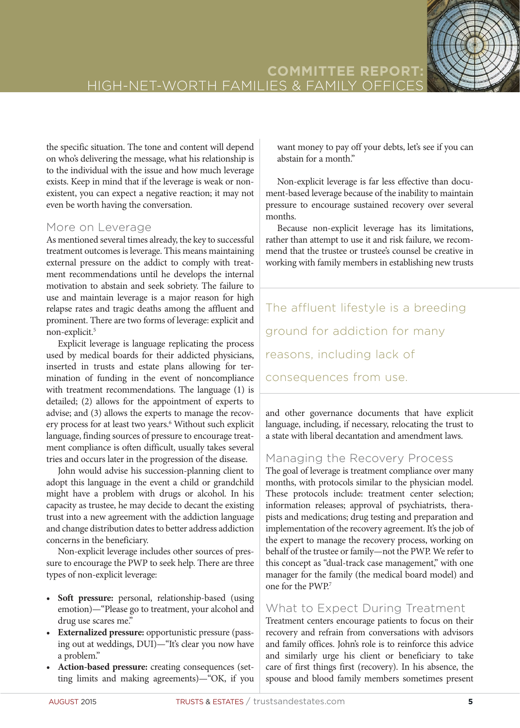the specific situation. The tone and content will depend on who's delivering the message, what his relationship is to the individual with the issue and how much leverage exists. Keep in mind that if the leverage is weak or nonexistent, you can expect a negative reaction; it may not even be worth having the conversation.

# More on Leverage

As mentioned several times already, the key to successful treatment outcomes is leverage. This means maintaining external pressure on the addict to comply with treatment recommendations until he develops the internal motivation to abstain and seek sobriety. The failure to use and maintain leverage is a major reason for high relapse rates and tragic deaths among the affluent and prominent. There are two forms of leverage: explicit and non-explicit.<sup>5</sup>

Explicit leverage is language replicating the process used by medical boards for their addicted physicians, inserted in trusts and estate plans allowing for termination of funding in the event of noncompliance with treatment recommendations. The language (1) is detailed; (2) allows for the appointment of experts to advise; and (3) allows the experts to manage the recovery process for at least two years.<sup>6</sup> Without such explicit language, finding sources of pressure to encourage treatment compliance is often difficult, usually takes several tries and occurs later in the progression of the disease.

John would advise his succession-planning client to adopt this language in the event a child or grandchild might have a problem with drugs or alcohol. In his capacity as trustee, he may decide to decant the existing trust into a new agreement with the addiction language and change distribution dates to better address addiction concerns in the beneficiary.

Non-explicit leverage includes other sources of pressure to encourage the PWP to seek help. There are three types of non-explicit leverage:

- Soft pressure: personal, relationship-based (using emotion)—"Please go to treatment, your alcohol and drug use scares me."
- **•** Externalized pressure: opportunistic pressure (passing out at weddings, DUI)—"It's clear you now have a problem."
- **Action-based pressure:** creating consequences (setting limits and making agreements)—"OK, if you

want money to pay off your debts, let's see if you can abstain for a month."

Non-explicit leverage is far less effective than document-based leverage because of the inability to maintain pressure to encourage sustained recovery over several months.

Because non-explicit leverage has its limitations, rather than attempt to use it and risk failure, we recommend that the trustee or trustee's counsel be creative in working with family members in establishing new trusts

The affluent lifestyle is a breeding ground for addiction for many reasons, including lack of consequences from use.

and other governance documents that have explicit language, including, if necessary, relocating the trust to a state with liberal decantation and amendment laws.

# Managing the Recovery Process

The goal of leverage is treatment compliance over many months, with protocols similar to the physician model. These protocols include: treatment center selection; information releases; approval of psychiatrists, therapists and medications; drug testing and preparation and implementation of the recovery agreement. It's the job of the expert to manage the recovery process, working on behalf of the trustee or family—not the PWP. We refer to this concept as "dual-track case management," with one manager for the family (the medical board model) and one for the PWP.<sup>7</sup>

# What to Expect During Treatment

Treatment centers encourage patients to focus on their recovery and refrain from conversations with advisors and family offices. John's role is to reinforce this advice and similarly urge his client or beneficiary to take care of first things first (recovery). In his absence, the spouse and blood family members sometimes present